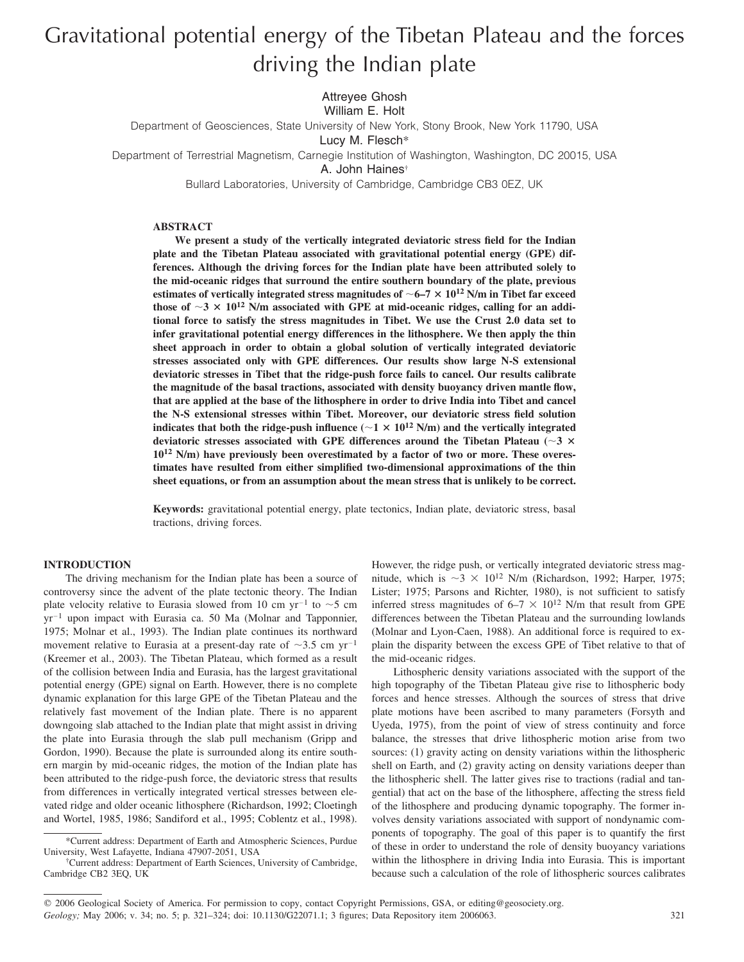# Gravitational potential energy of the Tibetan Plateau and the forces driving the Indian plate

Attreyee Ghosh

William E. Holt

Department of Geosciences, State University of New York, Stony Brook, New York 11790, USA

Lucy M. Flesch\*

Department of Terrestrial Magnetism, Carnegie Institution of Washington, Washington, DC 20015, USA

A. John Haines†

Bullard Laboratories, University of Cambridge, Cambridge CB3 0EZ, UK

## **ABSTRACT**

**We present a study of the vertically integrated deviatoric stress field for the Indian plate and the Tibetan Plateau associated with gravitational potential energy (GPE) differences. Although the driving forces for the Indian plate have been attributed solely to the mid-oceanic ridges that surround the entire southern boundary of the plate, previous** estimates of vertically integrated stress magnitudes of  ${\sim}$  6–7  ${\times}$  10<sup>12</sup> N/m in Tibet far exceed those of  $\sim$  3  $\times$  10<sup>12</sup> N/m associated with GPE at mid-oceanic ridges, calling for an addi**tional force to satisfy the stress magnitudes in Tibet. We use the Crust 2.0 data set to infer gravitational potential energy differences in the lithosphere. We then apply the thin sheet approach in order to obtain a global solution of vertically integrated deviatoric stresses associated only with GPE differences. Our results show large N-S extensional deviatoric stresses in Tibet that the ridge-push force fails to cancel. Our results calibrate the magnitude of the basal tractions, associated with density buoyancy driven mantle flow, that are applied at the base of the lithosphere in order to drive India into Tibet and cancel the N-S extensional stresses within Tibet. Moreover, our deviatoric stress field solution indicates that both the ridge-push influence** ( $\sim$  1  $\times$  10<sup>12</sup> N/m) and the vertically integrated deviatoric stresses associated with GPE differences around the Tibetan Plateau ( $\sim$ 3  $\times$ **10<sup>12</sup> N/m) have previously been overestimated by a factor of two or more. These overestimates have resulted from either simplified two-dimensional approximations of the thin sheet equations, or from an assumption about the mean stress that is unlikely to be correct.**

**Keywords:** gravitational potential energy, plate tectonics, Indian plate, deviatoric stress, basal tractions, driving forces.

## **INTRODUCTION**

The driving mechanism for the Indian plate has been a source of controversy since the advent of the plate tectonic theory. The Indian plate velocity relative to Eurasia slowed from 10 cm  $yr^{-1}$  to  $\sim$  5 cm  $yr^{-1}$  upon impact with Eurasia ca. 50 Ma (Molnar and Tapponnier, 1975; Molnar et al., 1993). The Indian plate continues its northward movement relative to Eurasia at a present-day rate of  $\sim$ 3.5 cm yr<sup>-1</sup> (Kreemer et al., 2003). The Tibetan Plateau, which formed as a result of the collision between India and Eurasia, has the largest gravitational potential energy (GPE) signal on Earth. However, there is no complete dynamic explanation for this large GPE of the Tibetan Plateau and the relatively fast movement of the Indian plate. There is no apparent downgoing slab attached to the Indian plate that might assist in driving the plate into Eurasia through the slab pull mechanism (Gripp and Gordon, 1990). Because the plate is surrounded along its entire southern margin by mid-oceanic ridges, the motion of the Indian plate has been attributed to the ridge-push force, the deviatoric stress that results from differences in vertically integrated vertical stresses between elevated ridge and older oceanic lithosphere (Richardson, 1992; Cloetingh and Wortel, 1985, 1986; Sandiford et al., 1995; Coblentz et al., 1998).

However, the ridge push, or vertically integrated deviatoric stress magnitude, which is  $\sim$  3  $\times$  10<sup>12</sup> N/m (Richardson, 1992; Harper, 1975; Lister; 1975; Parsons and Richter, 1980), is not sufficient to satisfy inferred stress magnitudes of  $6-7 \times 10^{12}$  N/m that result from GPE differences between the Tibetan Plateau and the surrounding lowlands (Molnar and Lyon-Caen, 1988). An additional force is required to explain the disparity between the excess GPE of Tibet relative to that of the mid-oceanic ridges.

Lithospheric density variations associated with the support of the high topography of the Tibetan Plateau give rise to lithospheric body forces and hence stresses. Although the sources of stress that drive plate motions have been ascribed to many parameters (Forsyth and Uyeda, 1975), from the point of view of stress continuity and force balance, the stresses that drive lithospheric motion arise from two sources: (1) gravity acting on density variations within the lithospheric shell on Earth, and (2) gravity acting on density variations deeper than the lithospheric shell. The latter gives rise to tractions (radial and tangential) that act on the base of the lithosphere, affecting the stress field of the lithosphere and producing dynamic topography. The former involves density variations associated with support of nondynamic components of topography. The goal of this paper is to quantify the first of these in order to understand the role of density buoyancy variations within the lithosphere in driving India into Eurasia. This is important because such a calculation of the role of lithospheric sources calibrates

<sup>\*</sup>Current address: Department of Earth and Atmospheric Sciences, Purdue University, West Lafayette, Indiana 47907-2051, USA

<sup>†</sup>Current address: Department of Earth Sciences, University of Cambridge, Cambridge CB2 3EQ, UK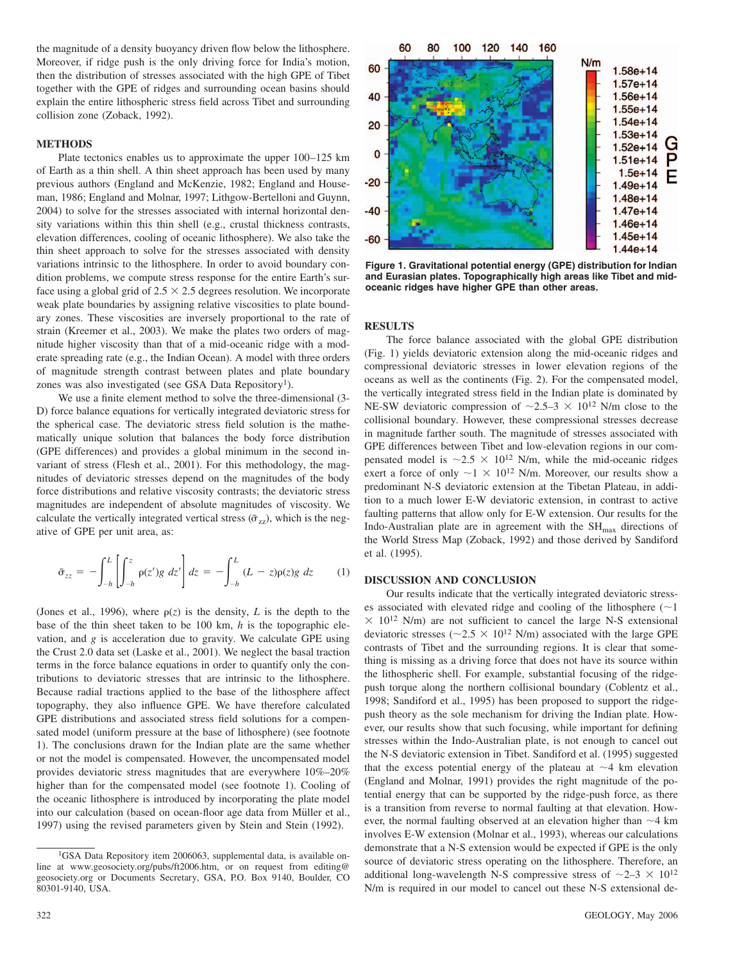the magnitude of a density buoyancy driven flow below the lithosphere. Moreover, if ridge push is the only driving force for India's motion, then the distribution of stresses associated with the high GPE of Tibet together with the GPE of ridges and surrounding ocean basins should explain the entire lithospheric stress field across Tibet and surrounding collision zone (Zoback, 1992).

### **METHODS**

Plate tectonics enables us to approximate the upper 100–125 km of Earth as a thin shell. A thin sheet approach has been used by many previous authors (England and McKenzie, 1982; England and Houseman, 1986; England and Molnar, 1997; Lithgow-Bertelloni and Guynn, 2004) to solve for the stresses associated with internal horizontal density variations within this thin shell (e.g., crustal thickness contrasts, elevation differences, cooling of oceanic lithosphere). We also take the thin sheet approach to solve for the stresses associated with density variations intrinsic to the lithosphere. In order to avoid boundary condition problems, we compute stress response for the entire Earth's surface using a global grid of  $2.5 \times 2.5$  degrees resolution. We incorporate weak plate boundaries by assigning relative viscosities to plate boundary zones. These viscosities are inversely proportional to the rate of strain (Kreemer et al., 2003). We make the plates two orders of magnitude higher viscosity than that of a mid-oceanic ridge with a moderate spreading rate (e.g., the Indian Ocean). A model with three orders of magnitude strength contrast between plates and plate boundary zones was also investigated (see GSA Data Repository<sup>1</sup>).

We use a finite element method to solve the three-dimensional (3- D) force balance equations for vertically integrated deviatoric stress for the spherical case. The deviatoric stress field solution is the mathematically unique solution that balances the body force distribution (GPE differences) and provides a global minimum in the second invariant of stress (Flesh et al., 2001). For this methodology, the magnitudes of deviatoric stresses depend on the magnitudes of the body force distributions and relative viscosity contrasts; the deviatoric stress magnitudes are independent of absolute magnitudes of viscosity. We calculate the vertically integrated vertical stress ( $\bar{\sigma}_{zz}$ ), which is the negative of GPE per unit area, as:

$$
\bar{\sigma}_{zz} = -\int_{-h}^{L} \left[ \int_{-h}^{z} \rho(z')g \, dz' \right] dz = -\int_{-h}^{L} (L - z)\rho(z)g \, dz \qquad (1)
$$

(Jones et al., 1996), where  $\rho(z)$  is the density, *L* is the depth to the base of the thin sheet taken to be 100 km, *h* is the topographic elevation, and *g* is acceleration due to gravity. We calculate GPE using the Crust 2.0 data set (Laske et al., 2001). We neglect the basal traction terms in the force balance equations in order to quantify only the contributions to deviatoric stresses that are intrinsic to the lithosphere. Because radial tractions applied to the base of the lithosphere affect topography, they also influence GPE. We have therefore calculated GPE distributions and associated stress field solutions for a compensated model (uniform pressure at the base of lithosphere) (see footnote 1). The conclusions drawn for the Indian plate are the same whether or not the model is compensated. However, the uncompensated model provides deviatoric stress magnitudes that are everywhere 10%–20% higher than for the compensated model (see footnote 1). Cooling of the oceanic lithosphere is introduced by incorporating the plate model into our calculation (based on ocean-floor age data from Müller et al., 1997) using the revised parameters given by Stein and Stein (1992).



**Figure 1. Gravitational potential energy (GPE) distribution for Indian and Eurasian plates. Topographically high areas like Tibet and midoceanic ridges have higher GPE than other areas.**

# **RESULTS**

The force balance associated with the global GPE distribution (Fig. 1) yields deviatoric extension along the mid-oceanic ridges and compressional deviatoric stresses in lower elevation regions of the oceans as well as the continents (Fig. 2). For the compensated model, the vertically integrated stress field in the Indian plate is dominated by NE-SW deviatoric compression of  $\sim$ 2.5–3  $\times$  10<sup>12</sup> N/m close to the collisional boundary. However, these compressional stresses decrease in magnitude farther south. The magnitude of stresses associated with GPE differences between Tibet and low-elevation regions in our compensated model is  $\sim 2.5 \times 10^{12}$  N/m, while the mid-oceanic ridges exert a force of only  $\sim$  1  $\times$  10<sup>12</sup> N/m. Moreover, our results show a predominant N-S deviatoric extension at the Tibetan Plateau, in addition to a much lower E-W deviatoric extension, in contrast to active faulting patterns that allow only for E-W extension. Our results for the Indo-Australian plate are in agreement with the  $SH_{\text{max}}$  directions of the World Stress Map (Zoback, 1992) and those derived by Sandiford et al. (1995).

# **DISCUSSION AND CONCLUSION**

Our results indicate that the vertically integrated deviatoric stresses associated with elevated ridge and cooling of the lithosphere  $(\sim]$  $\times$  10<sup>12</sup> N/m) are not sufficient to cancel the large N-S extensional deviatoric stresses ( $\sim$ 2.5  $\times$  10<sup>12</sup> N/m) associated with the large GPE contrasts of Tibet and the surrounding regions. It is clear that something is missing as a driving force that does not have its source within the lithospheric shell. For example, substantial focusing of the ridgepush torque along the northern collisional boundary (Coblentz et al., 1998; Sandiford et al., 1995) has been proposed to support the ridgepush theory as the sole mechanism for driving the Indian plate. However, our results show that such focusing, while important for defining stresses within the Indo-Australian plate, is not enough to cancel out the N-S deviatoric extension in Tibet. Sandiford et al. (1995) suggested that the excess potential energy of the plateau at  $\sim$ 4 km elevation (England and Molnar, 1991) provides the right magnitude of the potential energy that can be supported by the ridge-push force, as there is a transition from reverse to normal faulting at that elevation. However, the normal faulting observed at an elevation higher than  $\sim$ 4 km involves E-W extension (Molnar et al., 1993), whereas our calculations demonstrate that a N-S extension would be expected if GPE is the only source of deviatoric stress operating on the lithosphere. Therefore, an additional long-wavelength N-S compressive stress of  $\sim$ 2–3  $\times$  10<sup>12</sup> N/m is required in our model to cancel out these N-S extensional de-

<sup>&</sup>lt;sup>1</sup>GSA Data Repository item 2006063, supplemental data, is available online at www.geosociety.org/pubs/ft2006.htm, or on request from editing@ geosociety.org or Documents Secretary, GSA, P.O. Box 9140, Boulder, CO 80301-9140, USA.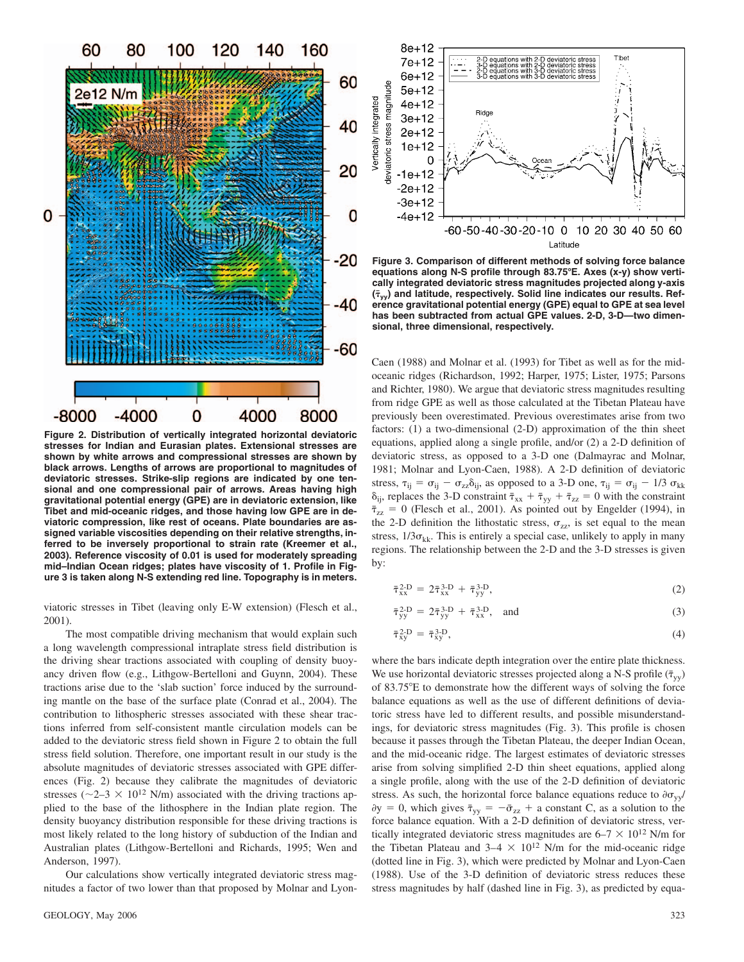

**Figure 2. Distribution of vertically integrated horizontal deviatoric stresses for Indian and Eurasian plates. Extensional stresses are shown by white arrows and compressional stresses are shown by black arrows. Lengths of arrows are proportional to magnitudes of deviatoric stresses. Strike-slip regions are indicated by one tensional and one compressional pair of arrows. Areas having high gravitational potential energy (GPE) are in deviatoric extension, like Tibet and mid-oceanic ridges, and those having low GPE are in deviatoric compression, like rest of oceans. Plate boundaries are assigned variable viscosities depending on their relative strengths, inferred to be inversely proportional to strain rate (Kreemer et al., 2003). Reference viscosity of 0.01 is used for moderately spreading mid–Indian Ocean ridges; plates have viscosity of 1. Profile in Figure 3 is taken along N-S extending red line. Topography is in meters.**

viatoric stresses in Tibet (leaving only E-W extension) (Flesch et al., 2001).

The most compatible driving mechanism that would explain such a long wavelength compressional intraplate stress field distribution is the driving shear tractions associated with coupling of density buoyancy driven flow (e.g., Lithgow-Bertelloni and Guynn, 2004). These tractions arise due to the 'slab suction' force induced by the surrounding mantle on the base of the surface plate (Conrad et al., 2004). The contribution to lithospheric stresses associated with these shear tractions inferred from self-consistent mantle circulation models can be added to the deviatoric stress field shown in Figure 2 to obtain the full stress field solution. Therefore, one important result in our study is the absolute magnitudes of deviatoric stresses associated with GPE differences (Fig. 2) because they calibrate the magnitudes of deviatoric stresses ( $\sim$ 2–3  $\times$  10<sup>12</sup> N/m) associated with the driving tractions applied to the base of the lithosphere in the Indian plate region. The density buoyancy distribution responsible for these driving tractions is most likely related to the long history of subduction of the Indian and Australian plates (Lithgow-Bertelloni and Richards, 1995; Wen and Anderson, 1997).

Our calculations show vertically integrated deviatoric stress magnitudes a factor of two lower than that proposed by Molnar and Lyon-



**Figure 3. Comparison of different methods of solving force balance equations along N-S profile through 83.75E. Axes (x-y) show vertically integrated deviatoric stress magnitudes projected along y-axis**  $(\bar{\tau}_{vv})$  and latitude, respectively. Solid line indicates our results. Ref**erence gravitational potential energy (GPE) equal to GPE at sea level has been subtracted from actual GPE values. 2-D, 3-D—two dimensional, three dimensional, respectively.**

Caen (1988) and Molnar et al. (1993) for Tibet as well as for the midoceanic ridges (Richardson, 1992; Harper, 1975; Lister, 1975; Parsons and Richter, 1980). We argue that deviatoric stress magnitudes resulting from ridge GPE as well as those calculated at the Tibetan Plateau have previously been overestimated. Previous overestimates arise from two factors: (1) a two-dimensional (2-D) approximation of the thin sheet equations, applied along a single profile, and/or (2) a 2-D definition of deviatoric stress, as opposed to a 3-D one (Dalmayrac and Molnar, 1981; Molnar and Lyon-Caen, 1988). A 2-D definition of deviatoric stress,  $\tau_{ij} = \sigma_{ij} - \sigma_{zz} \delta_{ij}$ , as opposed to a 3-D one,  $\tau_{ij} = \sigma_{ij} - 1/3 \sigma_{kk}$  $\delta_{ij}$ , replaces the 3-D constraint  $\bar{\tau}_{xx} + \bar{\tau}_{yy} + \bar{\tau}_{zz} = 0$  with the constraint  $\bar{\tau}_{zz} = 0$  (Flesch et al., 2001). As pointed out by Engelder (1994), in the 2-D definition the lithostatic stress,  $\sigma_{zz}$ , is set equal to the mean stress,  $1/3\sigma_{kk}$ . This is entirely a special case, unlikely to apply in many regions. The relationship between the 2-D and the 3-D stresses is given by:

$$
\bar{\tau}_{xx}^{\text{2-D}} = 2\bar{\tau}_{xx}^{\text{3-D}} + \bar{\tau}_{yy}^{\text{3-D}},\tag{2}
$$

$$
\bar{\tau}_{yy}^{\text{2-D}} = 2\bar{\tau}_{yy}^{\text{3-D}} + \bar{\tau}_{xx}^{\text{3-D}}, \quad \text{and} \tag{3}
$$

$$
\bar{\tau}_{xy}^{2-D} = \bar{\tau}_{xy}^{3-D},\tag{4}
$$

where the bars indicate depth integration over the entire plate thickness. We use horizontal deviatoric stresses projected along a N-S profile  $(\bar{\tau}_{vv})$ of 83.75E to demonstrate how the different ways of solving the force balance equations as well as the use of different definitions of deviatoric stress have led to different results, and possible misunderstandings, for deviatoric stress magnitudes (Fig. 3). This profile is chosen because it passes through the Tibetan Plateau, the deeper Indian Ocean, and the mid-oceanic ridge. The largest estimates of deviatoric stresses arise from solving simplified 2-D thin sheet equations, applied along a single profile, along with the use of the 2-D definition of deviatoric stress. As such, the horizontal force balance equations reduce to  $\partial \sigma_{vv}$  $\partial y = 0$ , which gives  $\bar{\tau}_{yy} = -\bar{\sigma}_{zz} + a$  constant C, as a solution to the force balance equation. With a 2-D definition of deviatoric stress, vertically integrated deviatoric stress magnitudes are  $6-7 \times 10^{12}$  N/m for the Tibetan Plateau and  $3-4 \times 10^{12}$  N/m for the mid-oceanic ridge (dotted line in Fig. 3), which were predicted by Molnar and Lyon-Caen (1988). Use of the 3-D definition of deviatoric stress reduces these stress magnitudes by half (dashed line in Fig. 3), as predicted by equa